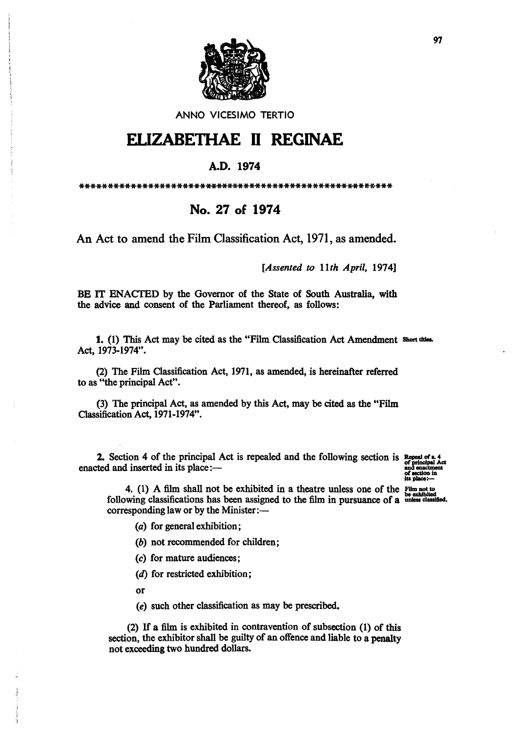

#### ANNO VICESIMO TERTIO

# **ELIZABETHAE 11 REGINAE**

### A.D. 1974

\*\*\*\*\*\*\*\*\*\*\*\*\*\*\*\*\*\*\*\*\*\*\*\*\*\*\*\*\*\*\*\*\*\*\*\*\*\*\*\*\*\*\*\*\*\*\*\*\*\*\*\*\*\*\*

## No. 27 of 1974

An Act to amend the Film Classification Act, 1971, as amended.

*[Assented to 11th April, 1974]* 

BE IT ENACTED by the Governor of the State of South Australia, with the advice and consent of the Parliament thereof, as follows:

1. (1) This Act may be cited as the "Film Classification Act Amendment Short titles. Act, 1973-1974".

(2) The Film Classification Act, 1971, as amended, is hereinafter referred to as "the principal Act".

(3) The principal Act, as amended by this Act, may be cited as the "Film Classification Act, 1971-1974".

2. Section 4 of the principal Act is repealed and the following section is  $_{of~principt}^{Reposal of}$ enacted and inserted in its place:-

its place:-

4. (1) A film shall not be exhibited in a theatre unless one of the  $\frac{F_{\text{lim not to}}}{\text{lim of the first}}$ following classifications has been assigned to the film in pursuance of a unless classified. corresponding law or by the Minister:---

(a) for general exhibition;

(b) not recommended for children;

(c) for mature audiences;

(d) for restricted exhibition;

or

*(e)* such other classification as may be prescribed.

(2) If a film is exhibited in contravention of subsection (1) of this section, the exhibitor shall be guilty of an offence and liable to a penalty not exceeding two hundred dollars.